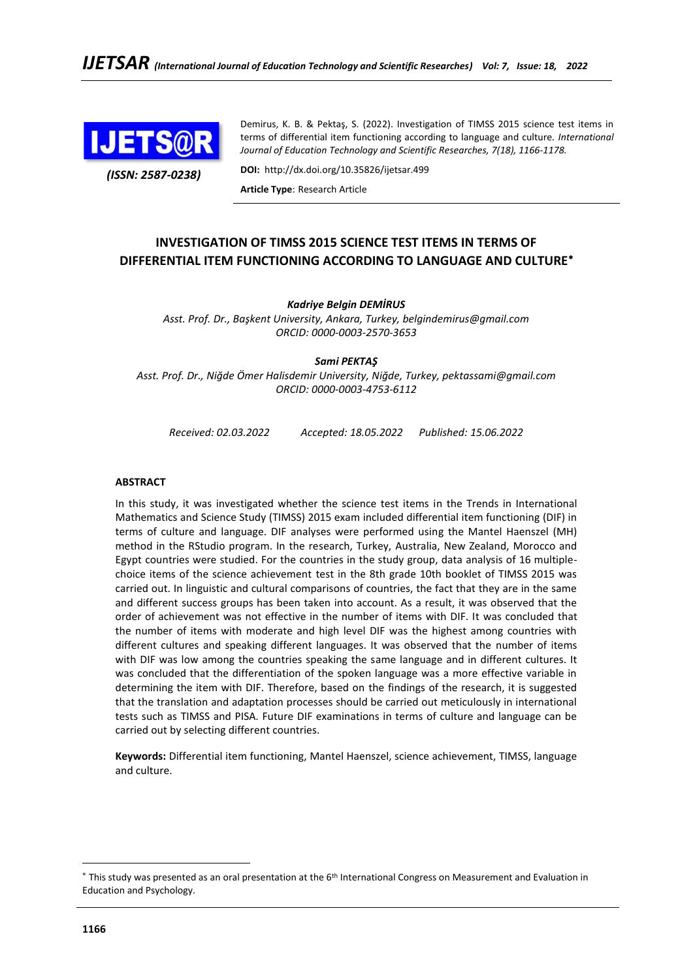

*(ISSN: 2587-0238)*

Demirus, K. B. & Pektaş, S. (2022). Investigation of TIMSS 2015 science test items in terms of differential item functioning according to language and culture*. International Journal of Education Technology and Scientific Researches, 7(18), 1166-1178.*

**DOI:** http://dx.doi.org/10.35826/ijetsar.499

**Article Type**: Research Article

# **INVESTIGATION OF TIMSS 2015 SCIENCE TEST ITEMS IN TERMS OF DIFFERENTIAL ITEM FUNCTIONING ACCORDING TO LANGUAGE AND CULTURE**

### *Kadriye Belgin DEMİRUS*

*Asst. Prof. Dr., Başkent University, Ankara, Turkey, [belgindemirus@gmail.com](mailto:belgindemirus@gmail.com) ORCID: [0000-0003-2570-3653](https://orcid.org/0000-0003-2570-3653)*

*Sami PEKTAŞ*

*Asst. Prof. Dr., Niğde Ömer Halisdemir University, Niğde, Turkey, [pektassami@gmail.com](mailto:pektassami@gmail.com) ORCID: 0000-0003-4753-6112*

*Received: 02.03.2022 Accepted: 18.05.2022 Published: 15.06.2022*

#### **ABSTRACT**

In this study, it was investigated whether the science test items in the Trends in International Mathematics and Science Study (TIMSS) 2015 exam included differential item functioning (DIF) in terms of culture and language. DIF analyses were performed using the Mantel Haenszel (MH) method in the RStudio program. In the research, Turkey, Australia, New Zealand, Morocco and Egypt countries were studied. For the countries in the study group, data analysis of 16 multiplechoice items of the science achievement test in the 8th grade 10th booklet of TIMSS 2015 was carried out. In linguistic and cultural comparisons of countries, the fact that they are in the same and different success groups has been taken into account. As a result, it was observed that the order of achievement was not effective in the number of items with DIF. It was concluded that the number of items with moderate and high level DIF was the highest among countries with different cultures and speaking different languages. It was observed that the number of items with DIF was low among the countries speaking the same language and in different cultures. It was concluded that the differentiation of the spoken language was a more effective variable in determining the item with DIF. Therefore, based on the findings of the research, it is suggested that the translation and adaptation processes should be carried out meticulously in international tests such as TIMSS and PISA. Future DIF examinations in terms of culture and language can be carried out by selecting different countries.

**Keywords:** Differential item functioning, Mantel Haenszel, science achievement, TIMSS, language and culture.

<sup>\*</sup> This study was presented as an oral presentation at the 6<sup>th</sup> International Congress on Measurement and Evaluation in Education and Psychology.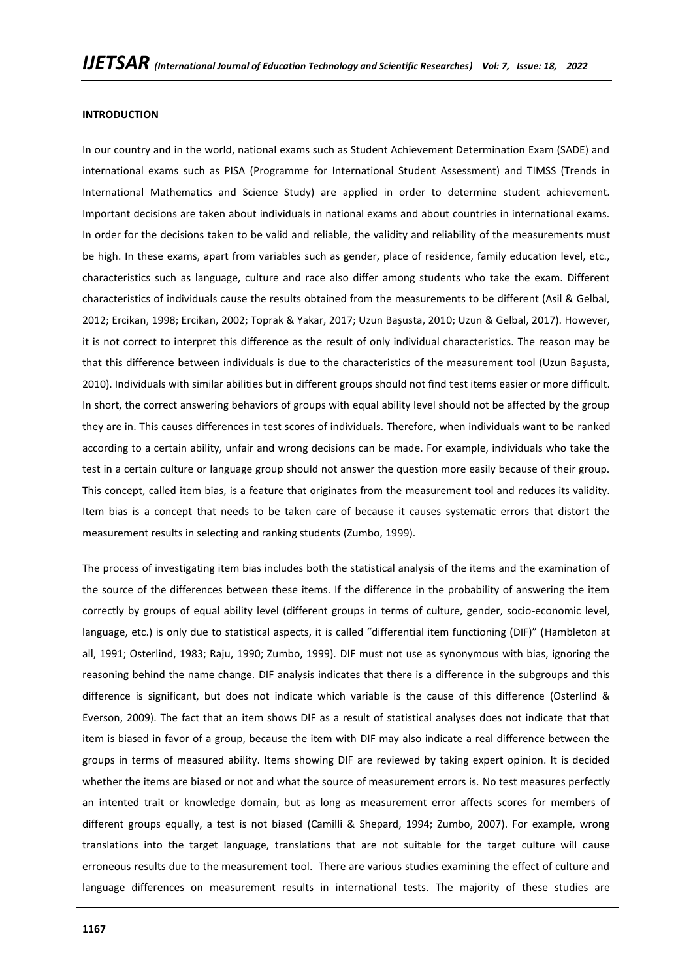#### **INTRODUCTION**

In our country and in the world, national exams such as Student Achievement Determination Exam (SADE) and international exams such as PISA (Programme for International Student Assessment) and TIMSS (Trends in International Mathematics and Science Study) are applied in order to determine student achievement. Important decisions are taken about individuals in national exams and about countries in international exams. In order for the decisions taken to be valid and reliable, the validity and reliability of the measurements must be high. In these exams, apart from variables such as gender, place of residence, family education level, etc., characteristics such as language, culture and race also differ among students who take the exam. Different characteristics of individuals cause the results obtained from the measurements to be different (Asil & Gelbal, 2012; Ercikan, 1998; Ercikan, 2002; Toprak & Yakar, 2017; Uzun Başusta, 2010; Uzun & Gelbal, 2017). However, it is not correct to interpret this difference as the result of only individual characteristics. The reason may be that this difference between individuals is due to the characteristics of the measurement tool (Uzun Başusta, 2010). Individuals with similar abilities but in different groups should not find test items easier or more difficult. In short, the correct answering behaviors of groups with equal ability level should not be affected by the group they are in. This causes differences in test scores of individuals. Therefore, when individuals want to be ranked according to a certain ability, unfair and wrong decisions can be made. For example, individuals who take the test in a certain culture or language group should not answer the question more easily because of their group. This concept, called item bias, is a feature that originates from the measurement tool and reduces its validity. Item bias is a concept that needs to be taken care of because it causes systematic errors that distort the measurement results in selecting and ranking students (Zumbo, 1999).

The process of investigating item bias includes both the statistical analysis of the items and the examination of the source of the differences between these items. If the difference in the probability of answering the item correctly by groups of equal ability level (different groups in terms of culture, gender, socio-economic level, language, etc.) is only due to statistical aspects, it is called "differential item functioning (DIF)" (Hambleton at all, 1991; Osterlind, 1983; Raju, 1990; Zumbo, 1999). DIF must not use as synonymous with bias, ignoring the reasoning behind the name change. DIF analysis indicates that there is a difference in the subgroups and this difference is significant, but does not indicate which variable is the cause of this difference (Osterlind & Everson, 2009). The fact that an item shows DIF as a result of statistical analyses does not indicate that that item is biased in favor of a group, because the item with DIF may also indicate a real difference between the groups in terms of measured ability. Items showing DIF are reviewed by taking expert opinion. It is decided whether the items are biased or not and what the source of measurement errors is. No test measures perfectly an intented trait or knowledge domain, but as long as measurement error affects scores for members of different groups equally, a test is not biased (Camilli & Shepard, 1994; Zumbo, 2007). For example, wrong translations into the target language, translations that are not suitable for the target culture will cause erroneous results due to the measurement tool. There are various studies examining the effect of culture and language differences on measurement results in international tests. The majority of these studies are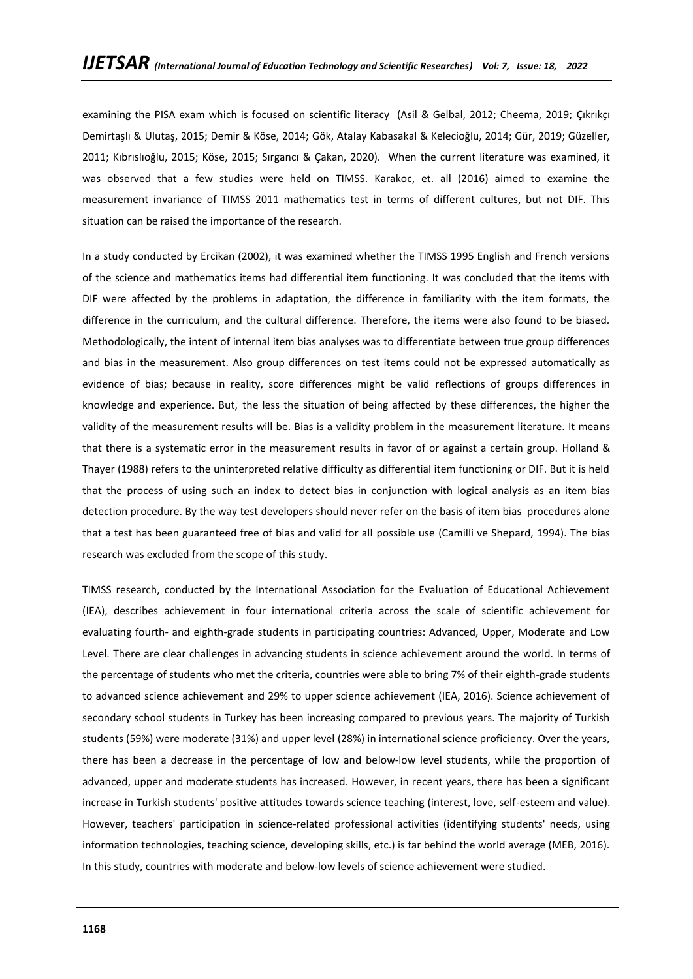examining the PISA exam which is focused on scientific literacy (Asil & Gelbal, 2012; Cheema, 2019; Çıkrıkçı Demirtaşlı & Ulutaş, 2015; Demir & Köse, 2014; Gök, Atalay Kabasakal & Kelecioğlu, 2014; Gür, 2019; Güzeller, 2011; Kıbrıslıoğlu, 2015; Köse, 2015; Sırgancı & Çakan, 2020). When the current literature was examined, it was observed that a few studies were held on TIMSS. Karakoc, et. all (2016) aimed to examine the measurement invariance of TIMSS 2011 mathematics test in terms of different cultures, but not DIF. This situation can be raised the importance of the research.

In a study conducted by Ercikan (2002), it was examined whether the TIMSS 1995 English and French versions of the science and mathematics items had differential item functioning. It was concluded that the items with DIF were affected by the problems in adaptation, the difference in familiarity with the item formats, the difference in the curriculum, and the cultural difference. Therefore, the items were also found to be biased. Methodologically, the intent of internal item bias analyses was to differentiate between true group differences and bias in the measurement. Also group differences on test items could not be expressed automatically as evidence of bias; because in reality, score differences might be valid reflections of groups differences in knowledge and experience. But, the less the situation of being affected by these differences, the higher the validity of the measurement results will be. Bias is a validity problem in the measurement literature. It means that there is a systematic error in the measurement results in favor of or against a certain group. Holland & Thayer (1988) refers to the uninterpreted relative difficulty as differential item functioning or DIF. But it is held that the process of using such an index to detect bias in conjunction with logical analysis as an item bias detection procedure. By the way test developers should never refer on the basis of item bias procedures alone that a test has been guaranteed free of bias and valid for all possible use (Camilli ve Shepard, 1994). The bias research was excluded from the scope of this study.

TIMSS research, conducted by the International Association for the Evaluation of Educational Achievement (IEA), describes achievement in four international criteria across the scale of scientific achievement for evaluating fourth- and eighth-grade students in participating countries: Advanced, Upper, Moderate and Low Level. There are clear challenges in advancing students in science achievement around the world. In terms of the percentage of students who met the criteria, countries were able to bring 7% of their eighth-grade students to advanced science achievement and 29% to upper science achievement (IEA, 2016). Science achievement of secondary school students in Turkey has been increasing compared to previous years. The majority of Turkish students (59%) were moderate (31%) and upper level (28%) in international science proficiency. Over the years, there has been a decrease in the percentage of low and below-low level students, while the proportion of advanced, upper and moderate students has increased. However, in recent years, there has been a significant increase in Turkish students' positive attitudes towards science teaching (interest, love, self-esteem and value). However, teachers' participation in science-related professional activities (identifying students' needs, using information technologies, teaching science, developing skills, etc.) is far behind the world average (MEB, 2016). In this study, countries with moderate and below-low levels of science achievement were studied.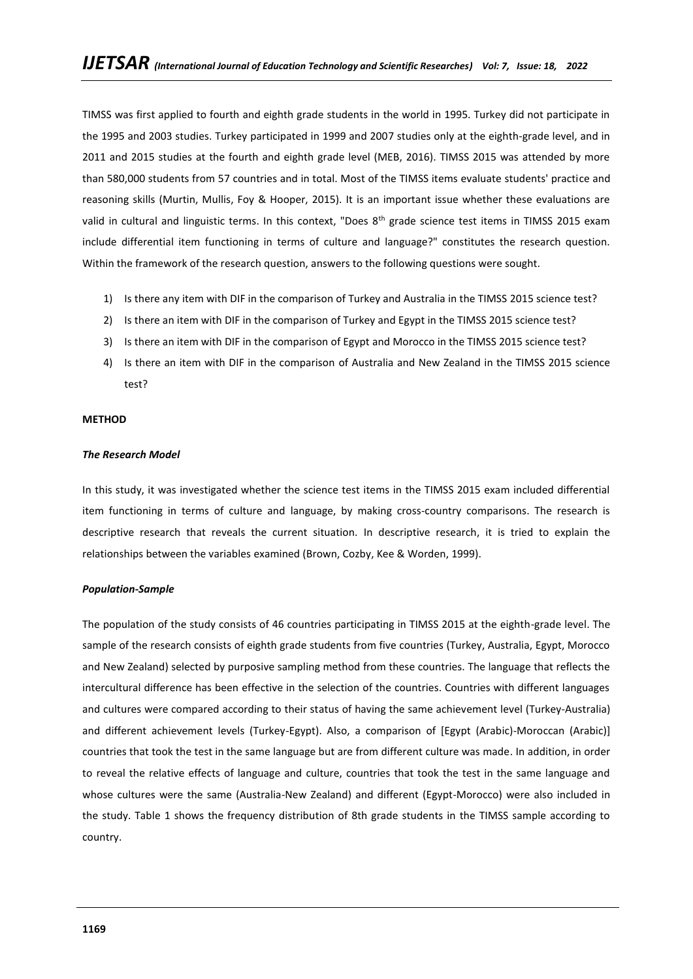TIMSS was first applied to fourth and eighth grade students in the world in 1995. Turkey did not participate in the 1995 and 2003 studies. Turkey participated in 1999 and 2007 studies only at the eighth-grade level, and in 2011 and 2015 studies at the fourth and eighth grade level (MEB, 2016). TIMSS 2015 was attended by more than 580,000 students from 57 countries and in total. Most of the TIMSS items evaluate students' practice and reasoning skills (Murtin, Mullis, Foy & Hooper, 2015). It is an important issue whether these evaluations are valid in cultural and linguistic terms. In this context, "Does 8<sup>th</sup> grade science test items in TIMSS 2015 exam include differential item functioning in terms of culture and language?" constitutes the research question. Within the framework of the research question, answers to the following questions were sought.

- 1) Is there any item with DIF in the comparison of Turkey and Australia in the TIMSS 2015 science test?
- 2) Is there an item with DIF in the comparison of Turkey and Egypt in the TIMSS 2015 science test?
- 3) Is there an item with DIF in the comparison of Egypt and Morocco in the TIMSS 2015 science test?
- 4) Is there an item with DIF in the comparison of Australia and New Zealand in the TIMSS 2015 science test?

### **METHOD**

### *The Research Model*

In this study, it was investigated whether the science test items in the TIMSS 2015 exam included differential item functioning in terms of culture and language, by making cross-country comparisons. The research is descriptive research that reveals the current situation. In descriptive research, it is tried to explain the relationships between the variables examined (Brown, Cozby, Kee & Worden, 1999).

### *Population-Sample*

The population of the study consists of 46 countries participating in TIMSS 2015 at the eighth-grade level. The sample of the research consists of eighth grade students from five countries (Turkey, Australia, Egypt, Morocco and New Zealand) selected by purposive sampling method from these countries. The language that reflects the intercultural difference has been effective in the selection of the countries. Countries with different languages and cultures were compared according to their status of having the same achievement level (Turkey-Australia) and different achievement levels (Turkey-Egypt). Also, a comparison of [Egypt (Arabic)-Moroccan (Arabic)] countries that took the test in the same language but are from different culture was made. In addition, in order to reveal the relative effects of language and culture, countries that took the test in the same language and whose cultures were the same (Australia-New Zealand) and different (Egypt-Morocco) were also included in the study. Table 1 shows the frequency distribution of 8th grade students in the TIMSS sample according to country.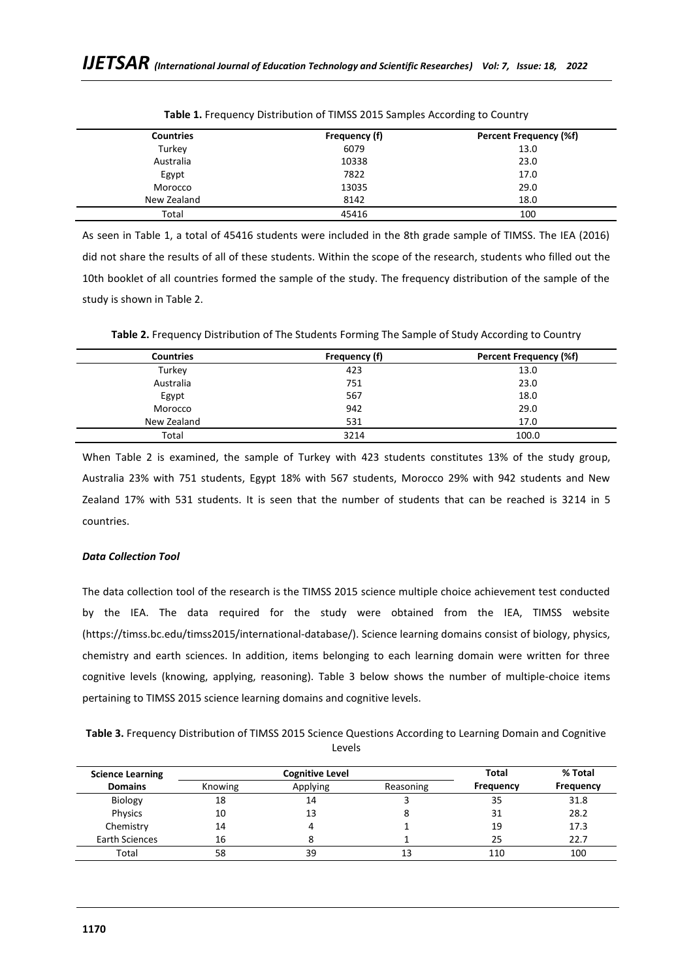| <b>Countries</b> | Frequency (f) | <b>Percent Frequency (%f)</b> |
|------------------|---------------|-------------------------------|
| Turkey           | 6079          | 13.0                          |
| Australia        | 10338         | 23.0                          |
| Egypt            | 7822          | 17.0                          |
| Morocco          | 13035         | 29.0                          |
| New Zealand      | 8142          | 18.0                          |
| Total            | 45416         | 100                           |

**Table 1.** Frequency Distribution of TIMSS 2015 Samples According to Country

As seen in Table 1, a total of 45416 students were included in the 8th grade sample of TIMSS. The IEA (2016) did not share the results of all of these students. Within the scope of the research, students who filled out the 10th booklet of all countries formed the sample of the study. The frequency distribution of the sample of the study is shown in Table 2.

**Table 2.** Frequency Distribution of The Students Forming The Sample of Study According to Country

| <b>Countries</b> | Frequency (f) | <b>Percent Frequency (%f)</b> |
|------------------|---------------|-------------------------------|
| Turkey           | 423           | 13.0                          |
| Australia        | 751           | 23.0                          |
| Egypt            | 567           | 18.0                          |
| Morocco          | 942           | 29.0                          |
| New Zealand      | 531           | 17.0                          |
| Total            | 3214          | 100.0                         |

When Table 2 is examined, the sample of Turkey with 423 students constitutes 13% of the study group, Australia 23% with 751 students, Egypt 18% with 567 students, Morocco 29% with 942 students and New Zealand 17% with 531 students. It is seen that the number of students that can be reached is 3214 in 5 countries.

# *Data Collection Tool*

The data collection tool of the research is the TIMSS 2015 science multiple choice achievement test conducted by the IEA. The data required for the study were obtained from the IEA, TIMSS website (https://timss.bc.edu/timss2015/international-database/). Science learning domains consist of biology, physics, chemistry and earth sciences. In addition, items belonging to each learning domain were written for three cognitive levels (knowing, applying, reasoning). Table 3 below shows the number of multiple-choice items pertaining to TIMSS 2015 science learning domains and cognitive levels.

**Table 3.** Frequency Distribution of TIMSS 2015 Science Questions According to Learning Domain and Cognitive Levels

| <b>Science Learning</b> |         | <b>Cognitive Level</b> | Total     | % Total   |           |
|-------------------------|---------|------------------------|-----------|-----------|-----------|
| <b>Domains</b>          | Knowing | Applying               | Reasoning | Frequency | Frequency |
| <b>Biology</b>          | 18      | 14                     |           | 35        | 31.8      |
| Physics                 | 10      | 13                     |           | 31        | 28.2      |
| Chemistry               | 14      |                        |           | 19        | 17.3      |
| Earth Sciences          | 16      | 8                      |           | 25        | 22.7      |
| Total                   | 58      | 39                     | 13        | 110       | 100       |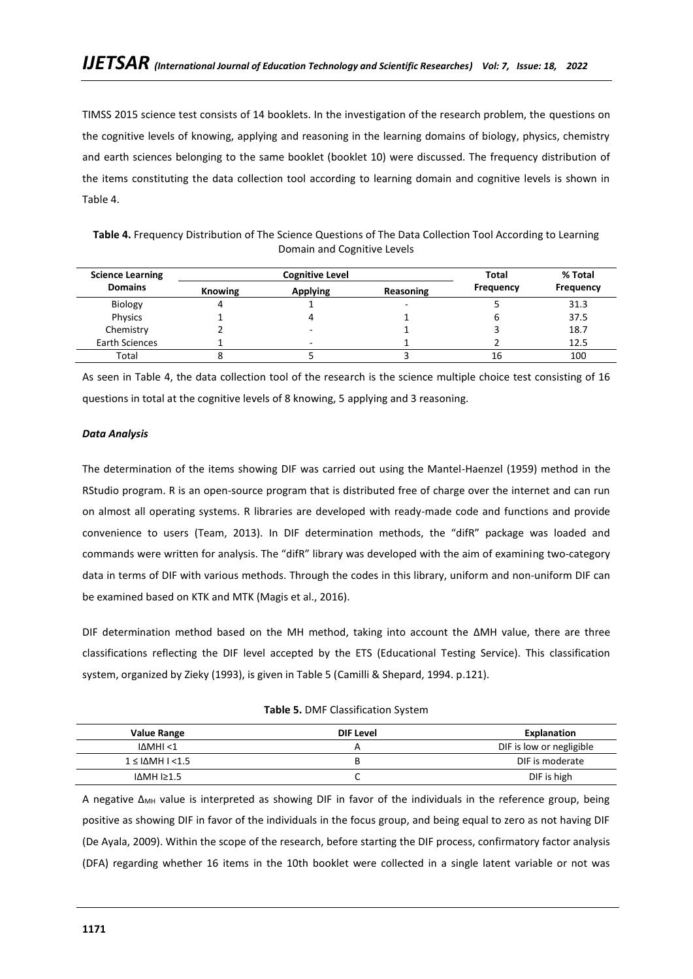TIMSS 2015 science test consists of 14 booklets. In the investigation of the research problem, the questions on the cognitive levels of knowing, applying and reasoning in the learning domains of biology, physics, chemistry and earth sciences belonging to the same booklet (booklet 10) were discussed. The frequency distribution of the items constituting the data collection tool according to learning domain and cognitive levels is shown in Table 4.

**Table 4.** Frequency Distribution of The Science Questions of The Data Collection Tool According to Learning Domain and Cognitive Levels

| <b>Science Learning</b> |                | <b>Cognitive Level</b> | Total                    | % Total          |           |
|-------------------------|----------------|------------------------|--------------------------|------------------|-----------|
| <b>Domains</b>          | <b>Knowing</b> | <b>Applying</b>        | Reasoning                | <b>Frequency</b> | Frequency |
| Biology                 |                |                        | $\overline{\phantom{0}}$ |                  | 31.3      |
| Physics                 |                |                        |                          |                  | 37.5      |
| Chemistry               |                | ٠                      |                          |                  | 18.7      |
| Earth Sciences          |                | -                      |                          |                  | 12.5      |
| Total                   |                |                        |                          | 16               | 100       |

As seen in Table 4, the data collection tool of the research is the science multiple choice test consisting of 16 questions in total at the cognitive levels of 8 knowing, 5 applying and 3 reasoning.

## *Data Analysis*

The determination of the items showing DIF was carried out using the Mantel-Haenzel (1959) method in the RStudio program. R is an open-source program that is distributed free of charge over the internet and can run on almost all operating systems. R libraries are developed with ready-made code and functions and provide convenience to users (Team, 2013). In DIF determination methods, the "difR" package was loaded and commands were written for analysis. The "difR" library was developed with the aim of examining two-category data in terms of DIF with various methods. Through the codes in this library, uniform and non-uniform DIF can be examined based on KTK and MTK (Magis et al., 2016).

DIF determination method based on the MH method, taking into account the ∆MH value, there are three classifications reflecting the DIF level accepted by the ETS (Educational Testing Service). This classification system, organized by Zieky (1993), is given in Table 5 (Camilli & Shepard, 1994. p.121).

**Table 5.** DMF Classification System

| <b>Value Range</b>                    | DIF Level | Explanation              |
|---------------------------------------|-----------|--------------------------|
| I∆MHI <1                              |           | DIF is low or negligible |
| $1 \leq \text{ \Delta}$ MH $\leq 1.5$ |           | DIF is moderate          |
| IΔMH I≥1.5                            | ֊         | DIF is high              |

A negative ∆<sub>MH</sub> value is interpreted as showing DIF in favor of the individuals in the reference group, being positive as showing DIF in favor of the individuals in the focus group, and being equal to zero as not having DIF (De Ayala, 2009). Within the scope of the research, before starting the DIF process, confirmatory factor analysis (DFA) regarding whether 16 items in the 10th booklet were collected in a single latent variable or not was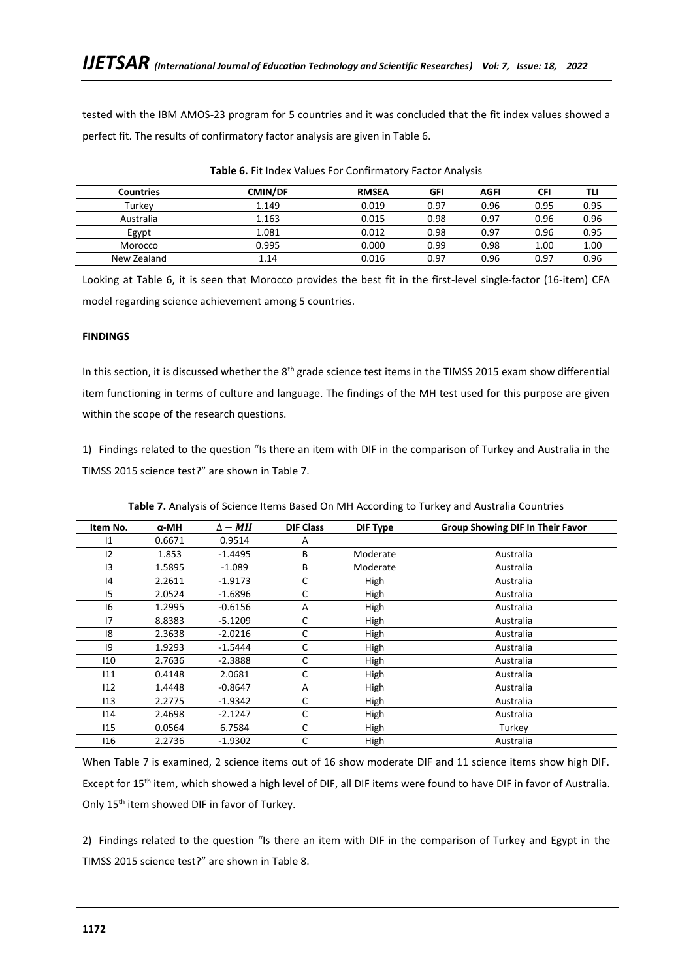tested with the IBM AMOS-23 program for 5 countries and it was concluded that the fit index values showed a perfect fit. The results of confirmatory factor analysis are given in Table 6.

| <b>Countries</b> | <b>CMIN/DF</b> | <b>RMSEA</b> | GFI  | <b>AGFI</b> | <b>CFI</b> | TLI  |
|------------------|----------------|--------------|------|-------------|------------|------|
| Turkev           | 1.149          | 0.019        | 0.97 | 0.96        | 0.95       | 0.95 |
| Australia        | 1.163          | 0.015        | 0.98 | 0.97        | 0.96       | 0.96 |
| Egypt            | 1.081          | 0.012        | 0.98 | 0.97        | 0.96       | 0.95 |
| Morocco          | 0.995          | 0.000        | 0.99 | 0.98        | 1.00       | 1.00 |
| New Zealand      | 1.14           | 0.016        | 0.97 | 0.96        | 0.97       | 0.96 |

**Table 6.** Fit Index Values For Confirmatory Factor Analysis

Looking at Table 6, it is seen that Morocco provides the best fit in the first-level single-factor (16-item) CFA model regarding science achievement among 5 countries.

# **FINDINGS**

In this section, it is discussed whether the 8<sup>th</sup> grade science test items in the TIMSS 2015 exam show differential item functioning in terms of culture and language. The findings of the MH test used for this purpose are given within the scope of the research questions.

1) Findings related to the question "Is there an item with DIF in the comparison of Turkey and Australia in the TIMSS 2015 science test?" are shown in Table 7.

| Item No. | $\alpha$ -MH | $\Delta - MH$ | <b>DIF Class</b> | <b>DIF Type</b> | Group Showing DIF In Their Favor |
|----------|--------------|---------------|------------------|-----------------|----------------------------------|
| 1        | 0.6671       | 0.9514        | Α                |                 |                                  |
| 12       | 1.853        | $-1.4495$     | В                | Moderate        | Australia                        |
| 3        | 1.5895       | $-1.089$      | В                | Moderate        | Australia                        |
| 4        | 2.2611       | $-1.9173$     | C                | High            | Australia                        |
| 15       | 2.0524       | $-1.6896$     | C                | High            | Australia                        |
| 16       | 1.2995       | $-0.6156$     | A                | High            | Australia                        |
| 17       | 8.8383       | $-5.1209$     | С                | High            | Australia                        |
| 18       | 2.3638       | $-2.0216$     | C                | High            | Australia                        |
| 9        | 1.9293       | $-1.5444$     | C                | High            | Australia                        |
| 110      | 2.7636       | $-2.3888$     | C                | High            | Australia                        |
| 111      | 0.4148       | 2.0681        | C                | High            | Australia                        |
| 112      | 1.4448       | $-0.8647$     | Α                | High            | Australia                        |
| 113      | 2.2775       | $-1.9342$     | C                | High            | Australia                        |
| 114      | 2.4698       | $-2.1247$     | C                | High            | Australia                        |
| 115      | 0.0564       | 6.7584        | C                | High            | Turkey                           |
| 116      | 2.2736       | $-1.9302$     | C                | High            | Australia                        |

**Table 7.** Analysis of Science Items Based On MH According to Turkey and Australia Countries

When Table 7 is examined, 2 science items out of 16 show moderate DIF and 11 science items show high DIF. Except for 15<sup>th</sup> item, which showed a high level of DIF, all DIF items were found to have DIF in favor of Australia. Only 15<sup>th</sup> item showed DIF in favor of Turkey.

2) Findings related to the question "Is there an item with DIF in the comparison of Turkey and Egypt in the TIMSS 2015 science test?" are shown in Table 8.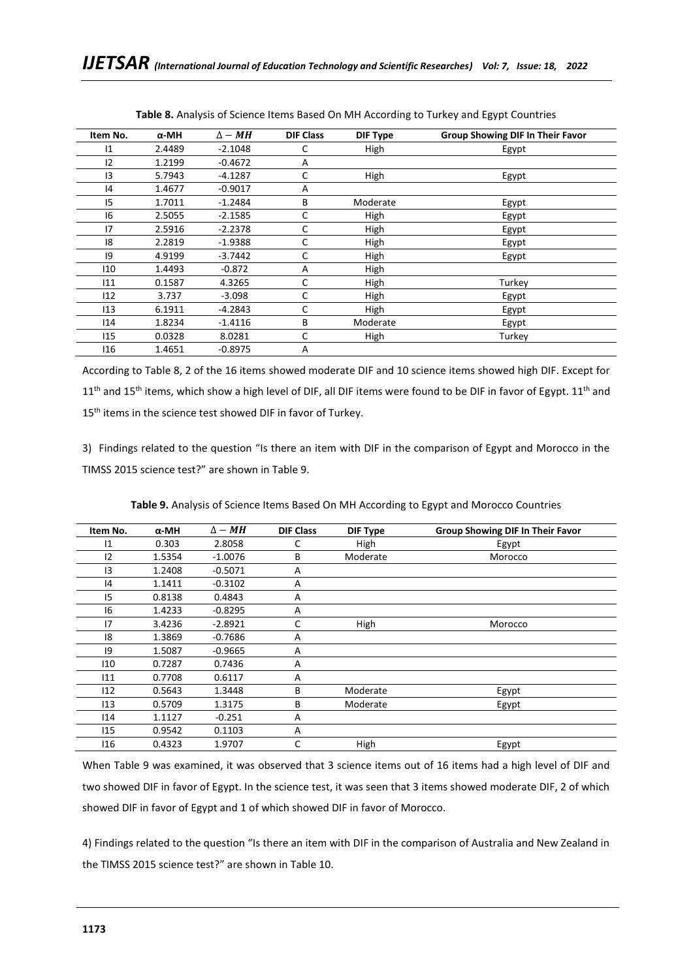| Item No. | $\alpha$ -MH | $\Delta - MH$ | <b>DIF Class</b> | <b>DIF Type</b> | <b>Group Showing DIF In Their Favor</b> |
|----------|--------------|---------------|------------------|-----------------|-----------------------------------------|
| 1        | 2.4489       | $-2.1048$     | C                | High            | Egypt                                   |
| 12       | 1.2199       | $-0.4672$     | A                |                 |                                         |
| 13       | 5.7943       | $-4.1287$     | C                | High            | Egypt                                   |
| 4        | 1.4677       | $-0.9017$     | A                |                 |                                         |
| 15       | 1.7011       | $-1.2484$     | B                | Moderate        | Egypt                                   |
| 16       | 2.5055       | $-2.1585$     | C                | High            | Egypt                                   |
| 17       | 2.5916       | $-2.2378$     | C                | High            | Egypt                                   |
| 8        | 2.2819       | $-1.9388$     | C                | High            | Egypt                                   |
| 9        | 4.9199       | $-3.7442$     | C                | High            | Egypt                                   |
| 110      | 1.4493       | $-0.872$      | A                | High            |                                         |
| 111      | 0.1587       | 4.3265        | C                | High            | Turkey                                  |
| 112      | 3.737        | $-3.098$      | C                | High            | Egypt                                   |
| 113      | 6.1911       | $-4.2843$     | C                | High            | Egypt                                   |
| 114      | 1.8234       | $-1.4116$     | В                | Moderate        | Egypt                                   |
| 115      | 0.0328       | 8.0281        | C                | High            | Turkey                                  |
| 116      | 1.4651       | $-0.8975$     | A                |                 |                                         |

**Table 8.** Analysis of Science Items Based On MH According to Turkey and Egypt Countries

According to Table 8, 2 of the 16 items showed moderate DIF and 10 science items showed high DIF. Except for  $11<sup>th</sup>$  and  $15<sup>th</sup>$  items, which show a high level of DIF, all DIF items were found to be DIF in favor of Egypt.  $11<sup>th</sup>$  and 15<sup>th</sup> items in the science test showed DIF in favor of Turkey.

3) Findings related to the question "Is there an item with DIF in the comparison of Egypt and Morocco in the TIMSS 2015 science test?" are shown in Table 9.

| Item No. | $\alpha$ -MH | $\Delta - MH$ | <b>DIF Class</b> | <b>DIF Type</b> | <b>Group Showing DIF In Their Favor</b> |
|----------|--------------|---------------|------------------|-----------------|-----------------------------------------|
| 1        | 0.303        | 2.8058        | C                | High            | Egypt                                   |
| 12       | 1.5354       | $-1.0076$     | В                | Moderate        | Morocco                                 |
| 13       | 1.2408       | $-0.5071$     | A                |                 |                                         |
| 4        | 1.1411       | $-0.3102$     | A                |                 |                                         |
| 15       | 0.8138       | 0.4843        | A                |                 |                                         |
| 16       | 1.4233       | $-0.8295$     | A                |                 |                                         |
| 17       | 3.4236       | $-2.8921$     | C                | High            | Morocco                                 |
| 18       | 1.3869       | $-0.7686$     | A                |                 |                                         |
| 9        | 1.5087       | $-0.9665$     | A                |                 |                                         |
| 110      | 0.7287       | 0.7436        | A                |                 |                                         |
| 111      | 0.7708       | 0.6117        | A                |                 |                                         |
| 112      | 0.5643       | 1.3448        | B                | Moderate        | Egypt                                   |
| 113      | 0.5709       | 1.3175        | B                | Moderate        | Egypt                                   |
| 114      | 1.1127       | $-0.251$      | A                |                 |                                         |
| 115      | 0.9542       | 0.1103        | A                |                 |                                         |
| 116      | 0.4323       | 1.9707        | C                | High            | Egypt                                   |

**Table 9.** Analysis of Science Items Based On MH According to Egypt and Morocco Countries

When Table 9 was examined, it was observed that 3 science items out of 16 items had a high level of DIF and two showed DIF in favor of Egypt. In the science test, it was seen that 3 items showed moderate DIF, 2 of which showed DIF in favor of Egypt and 1 of which showed DIF in favor of Morocco.

4) Findings related to the question "Is there an item with DIF in the comparison of Australia and New Zealand in the TIMSS 2015 science test?" are shown in Table 10.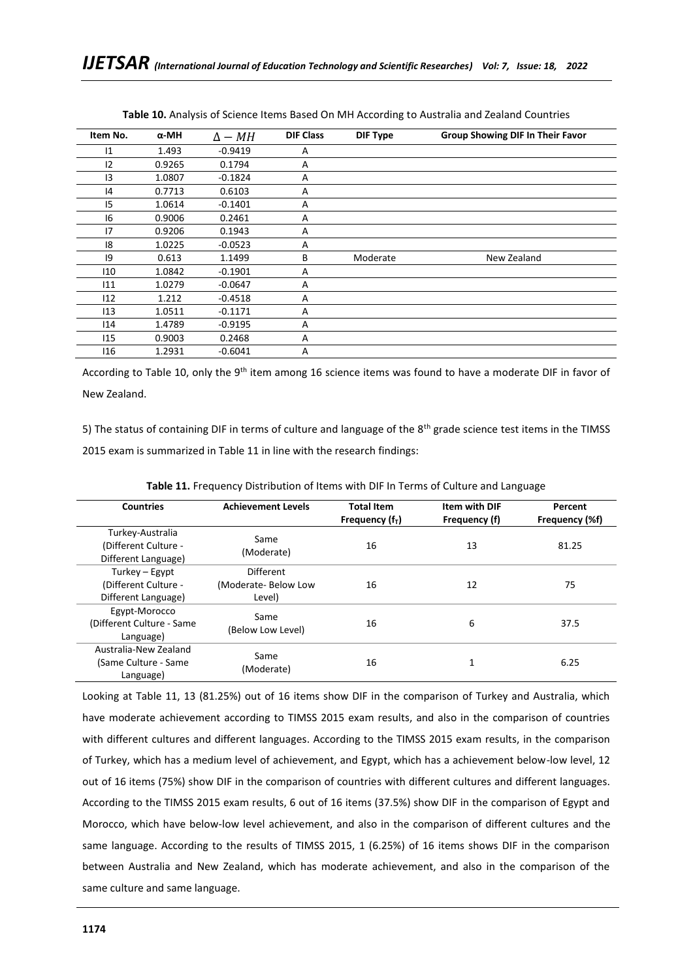| Item No. | $\alpha$ -MH | $\Delta - MH$ | <b>DIF Class</b> | DIF Type | <b>Group Showing DIF In Their Favor</b> |
|----------|--------------|---------------|------------------|----------|-----------------------------------------|
| 1        | 1.493        | $-0.9419$     | A                |          |                                         |
| 12       | 0.9265       | 0.1794        | A                |          |                                         |
| 3        | 1.0807       | $-0.1824$     | A                |          |                                         |
| 14       | 0.7713       | 0.6103        | A                |          |                                         |
| 15       | 1.0614       | $-0.1401$     | A                |          |                                         |
| 16       | 0.9006       | 0.2461        | A                |          |                                         |
| 17       | 0.9206       | 0.1943        | A                |          |                                         |
| 18       | 1.0225       | $-0.0523$     | A                |          |                                         |
| 9        | 0.613        | 1.1499        | В                | Moderate | New Zealand                             |
| 110      | 1.0842       | $-0.1901$     | Α                |          |                                         |
| 111      | 1.0279       | $-0.0647$     | A                |          |                                         |
| 112      | 1.212        | $-0.4518$     | A                |          |                                         |
| 113      | 1.0511       | $-0.1171$     | A                |          |                                         |
| 114      | 1.4789       | $-0.9195$     | A                |          |                                         |
| 115      | 0.9003       | 0.2468        | A                |          |                                         |
| 116      | 1.2931       | $-0.6041$     | Α                |          |                                         |

**Table 10.** Analysis of Science Items Based On MH According to Australia and Zealand Countries

According to Table 10, only the 9<sup>th</sup> item among 16 science items was found to have a moderate DIF in favor of New Zealand.

5) The status of containing DIF in terms of culture and language of the 8<sup>th</sup> grade science test items in the TIMSS 2015 exam is summarized in Table 11 in line with the research findings:

| <b>Countries</b>                                                | <b>Achievement Levels</b>                  | <b>Total Item</b><br>Frequency $(fT)$ | <b>Item with DIF</b><br>Frequency (f) | Percent<br>Frequency (%f) |
|-----------------------------------------------------------------|--------------------------------------------|---------------------------------------|---------------------------------------|---------------------------|
| Turkey-Australia<br>(Different Culture -<br>Different Language) | Same<br>(Moderate)                         | 16                                    | 13                                    | 81.25                     |
| Turkey – Egypt<br>(Different Culture -<br>Different Language)   | Different<br>(Moderate-Below Low<br>Level) | 16                                    | 12                                    | 75                        |
| Egypt-Morocco<br>(Different Culture - Same<br>Language)         | Same<br>(Below Low Level)                  | 16                                    | 6                                     | 37.5                      |
| Australia-New Zealand<br>(Same Culture - Same)<br>Language)     | Same<br>(Moderate)                         | 16                                    |                                       | 6.25                      |

**Table 11.** Frequency Distribution of Items with DIF In Terms of Culture and Language

Looking at Table 11, 13 (81.25%) out of 16 items show DIF in the comparison of Turkey and Australia, which have moderate achievement according to TIMSS 2015 exam results, and also in the comparison of countries with different cultures and different languages. According to the TIMSS 2015 exam results, in the comparison of Turkey, which has a medium level of achievement, and Egypt, which has a achievement below-low level, 12 out of 16 items (75%) show DIF in the comparison of countries with different cultures and different languages. According to the TIMSS 2015 exam results, 6 out of 16 items (37.5%) show DIF in the comparison of Egypt and Morocco, which have below-low level achievement, and also in the comparison of different cultures and the same language. According to the results of TIMSS 2015, 1 (6.25%) of 16 items shows DIF in the comparison between Australia and New Zealand, which has moderate achievement, and also in the comparison of the same culture and same language.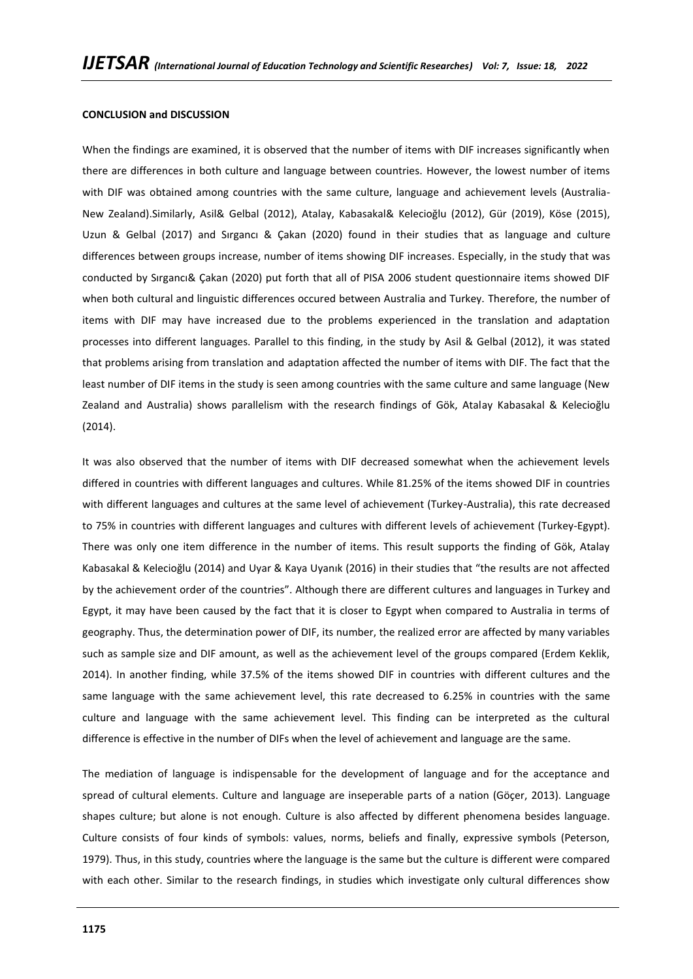#### **CONCLUSION and DISCUSSION**

When the findings are examined, it is observed that the number of items with DIF increases significantly when there are differences in both culture and language between countries. However, the lowest number of items with DIF was obtained among countries with the same culture, language and achievement levels (Australia-New Zealand).Similarly, Asil& Gelbal (2012), Atalay, Kabasakal& Kelecioğlu (2012), Gür (2019), Köse (2015), Uzun & Gelbal (2017) and Sırgancı & Çakan (2020) found in their studies that as language and culture differences between groups increase, number of items showing DIF increases. Especially, in the study that was conducted by Sırgancı& Çakan (2020) put forth that all of PISA 2006 student questionnaire items showed DIF when both cultural and linguistic differences occured between Australia and Turkey. Therefore, the number of items with DIF may have increased due to the problems experienced in the translation and adaptation processes into different languages. Parallel to this finding, in the study by Asil & Gelbal (2012), it was stated that problems arising from translation and adaptation affected the number of items with DIF. The fact that the least number of DIF items in the study is seen among countries with the same culture and same language (New Zealand and Australia) shows parallelism with the research findings of Gök, Atalay Kabasakal & Kelecioğlu (2014).

It was also observed that the number of items with DIF decreased somewhat when the achievement levels differed in countries with different languages and cultures. While 81.25% of the items showed DIF in countries with different languages and cultures at the same level of achievement (Turkey-Australia), this rate decreased to 75% in countries with different languages and cultures with different levels of achievement (Turkey-Egypt). There was only one item difference in the number of items. This result supports the finding of Gök, Atalay Kabasakal & Kelecioğlu (2014) and Uyar & Kaya Uyanık (2016) in their studies that "the results are not affected by the achievement order of the countries". Although there are different cultures and languages in Turkey and Egypt, it may have been caused by the fact that it is closer to Egypt when compared to Australia in terms of geography. Thus, the determination power of DIF, its number, the realized error are affected by many variables such as sample size and DIF amount, as well as the achievement level of the groups compared (Erdem Keklik, 2014). In another finding, while 37.5% of the items showed DIF in countries with different cultures and the same language with the same achievement level, this rate decreased to 6.25% in countries with the same culture and language with the same achievement level. This finding can be interpreted as the cultural difference is effective in the number of DIFs when the level of achievement and language are the same.

The mediation of language is indispensable for the development of language and for the acceptance and spread of cultural elements. Culture and language are inseperable parts of a nation (Göçer, 2013). Language shapes culture; but alone is not enough. Culture is also affected by different phenomena besides language. Culture consists of four kinds of symbols: values, norms, beliefs and finally, expressive symbols (Peterson, 1979). Thus, in this study, countries where the language is the same but the culture is different were compared with each other. Similar to the research findings, in studies which investigate only cultural differences show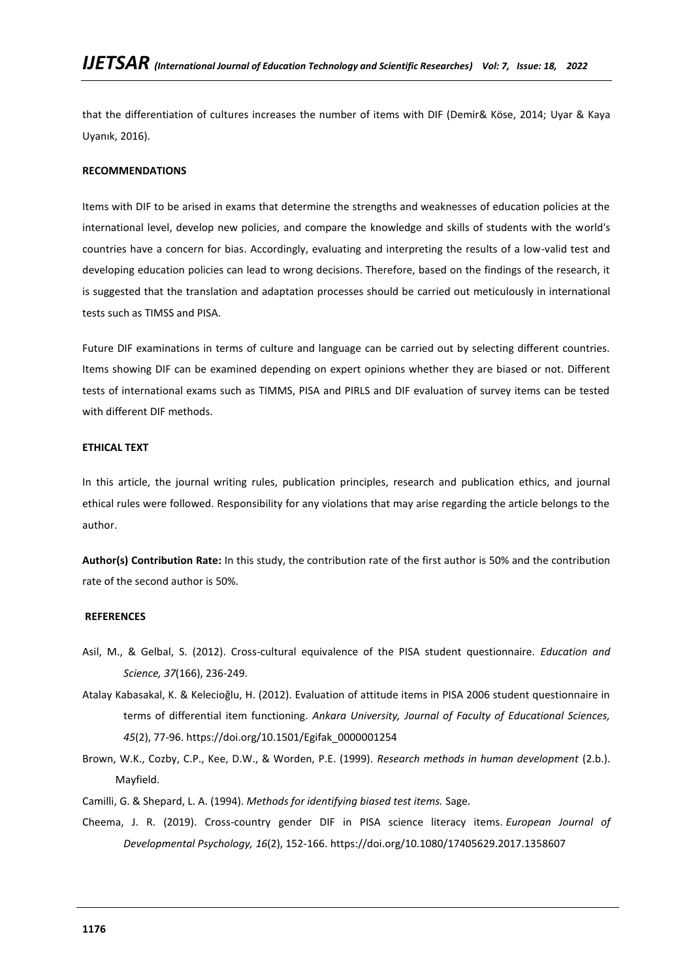that the differentiation of cultures increases the number of items with DIF (Demir& Köse, 2014; Uyar & Kaya Uyanık, 2016).

## **RECOMMENDATIONS**

Items with DIF to be arised in exams that determine the strengths and weaknesses of education policies at the international level, develop new policies, and compare the knowledge and skills of students with the world's countries have a concern for bias. Accordingly, evaluating and interpreting the results of a low-valid test and developing education policies can lead to wrong decisions. Therefore, based on the findings of the research, it is suggested that the translation and adaptation processes should be carried out meticulously in international tests such as TIMSS and PISA.

Future DIF examinations in terms of culture and language can be carried out by selecting different countries. Items showing DIF can be examined depending on expert opinions whether they are biased or not. Different tests of international exams such as TIMMS, PISA and PIRLS and DIF evaluation of survey items can be tested with different DIF methods.

#### **ETHICAL TEXT**

In this article, the journal writing rules, publication principles, research and publication ethics, and journal ethical rules were followed. Responsibility for any violations that may arise regarding the article belongs to the author.

**Author(s) Contribution Rate:** In this study, the contribution rate of the first author is 50% and the contribution rate of the second author is 50%.

### **REFERENCES**

- Asil, M., & Gelbal, S. (2012). Cross-cultural equivalence of the PISA student questionnaire. *Education and Science, 37*(166), 236-249.
- Atalay Kabasakal, K. & Kelecioğlu, H. (2012). Evaluation of attitude items in PISA 2006 student questionnaire in terms of differential item functioning. *Ankara University, Journal of Faculty of Educational Sciences, 45*(2), 77-96. https://doi.org/10.1501/Egifak\_0000001254
- Brown, W.K., Cozby, C.P., Kee, D.W., & Worden, P.E. (1999). *Research methods in human development* (2.b.). Mayfield.
- Camilli, G. & Shepard, L. A. (1994). *Methods for identifying biased test items.* Sage.
- Cheema, J. R. (2019). Cross-country gender DIF in PISA science literacy items. *European Journal of Developmental Psychology, 16*(2), 152-166. https://doi.org/10.1080/17405629.2017.1358607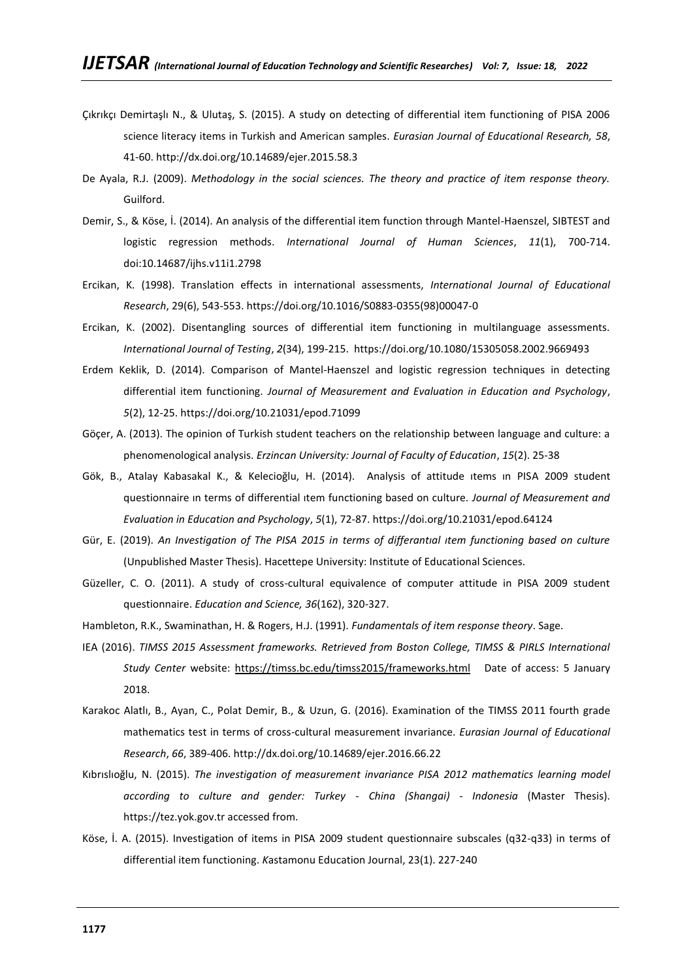- Çıkrıkçı Demirtaşlı N., & Ulutaş, S. (2015). A study on detecting of differential item functioning of PISA 2006 science literacy items in Turkish and American samples. *Eurasian Journal of Educational Research, 58*, 41-60. http://dx.doi.org/10.14689/ejer.2015.58.3
- De Ayala, R.J. (2009). *Methodology in the social sciences. The theory and practice of item response theory.*  Guilford.
- Demir, S., & Köse, İ. (2014). An analysis of the differential item function through Mantel-Haenszel, SIBTEST and logistic regression methods. *International Journal of Human Sciences*, *11*(1), 700-714. doi:10.14687/ijhs.v11i1.2798
- Ercikan, K. (1998). Translation effects in international assessments, *International Journal of Educational Research*, 29(6), 543-553. https://doi.org/10.1016/S0883-0355(98)00047-0
- Ercikan, K. (2002). Disentangling sources of differential item functioning in multilanguage assessments. *International Journal of Testing*, *2*(34), 199-215. https://doi.org/10.1080/15305058.2002.9669493
- Erdem Keklik, D. (2014). Comparison of Mantel-Haenszel and logistic regression techniques in detecting differential item functioning. *Journal of Measurement and Evaluation in Education and Psychology*, *5*(2), 12-25. https://doi.org/10.21031/epod.71099
- Göçer, A. (2013). The opinion of Turkish student teachers on the relationship between language and culture: a phenomenological analysis. *Erzincan University: Journal of Faculty of Education*, *15*(2). 25-38
- Gök, B., Atalay Kabasakal K., & Kelecioğlu, H. (2014). Analysis of attitude ıtems ın PISA 2009 student questionnaire ın terms of differential ıtem functioning based on culture. *Journal of Measurement and Evaluation in Education and Psychology*, *5*(1), 72-87. https://doi.org/10.21031/epod.64124
- Gür, E. (2019). *An Investigation of The PISA 2015 in terms of differantıal ıtem functioning based on culture*  (Unpublished Master Thesis). Hacettepe University: Institute of Educational Sciences.
- Güzeller, C. O. (2011). A study of cross-cultural equivalence of computer attitude in PISA 2009 student questionnaire. *Education and Science, 36*(162), 320-327.
- Hambleton, R.K., Swaminathan, H. & Rogers, H.J. (1991). *Fundamentals of item response theory*. Sage.
- IEA (2016). *TIMSS 2015 Assessment frameworks. Retrieved from Boston College, TIMSS & PIRLS International Study Center* website:<https://timss.bc.edu/timss2015/frameworks.html>Date of access: 5 January 2018.
- Karakoc Alatlı, B., Ayan, C., Polat Demir, B., & Uzun, G. (2016). Examination of the TIMSS 2011 fourth grade mathematics test in terms of cross-cultural measurement invariance. *Eurasian Journal of Educational Research*, *66*, 389-406. http://dx.doi.org/10.14689/ejer.2016.66.22
- Kıbrıslıoğlu, N. (2015). *The investigation of measurement invariance PISA 2012 mathematics learning model according to culture and gender: Turkey - China (Shangai) - Indonesia* (Master Thesis). https://tez.yok.gov.tr accessed from.
- Köse, İ. A. (2015). Investigation of items in PISA 2009 student questionnaire subscales (q32-q33) in terms of differential item functioning. *K*astamonu Education Journal, 23(1). 227-240